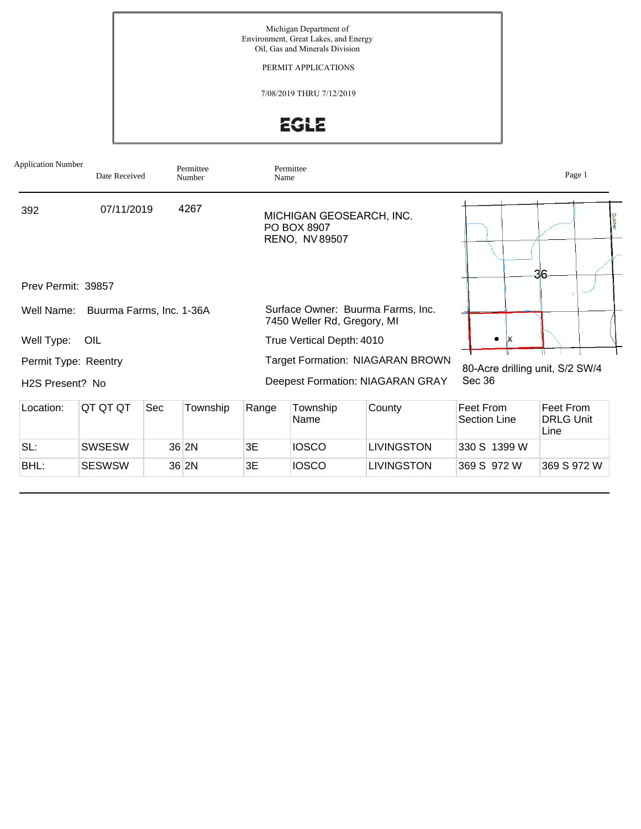PERMIT APPLICATIONS

7/08/2019 THRU 7/12/2019

**EGLE** 

| <b>Application Number</b>               | Date Received            |     | Permittee<br>Number | Name                      | Permittee                                                |                                                                                    |                                           | Page 1                                |
|-----------------------------------------|--------------------------|-----|---------------------|---------------------------|----------------------------------------------------------|------------------------------------------------------------------------------------|-------------------------------------------|---------------------------------------|
| 392                                     | 07/11/2019               |     | 4267                |                           | MICHIGAN GEOSEARCH, INC.<br>PO BOX 8907<br>RENO, NV89507 |                                                                                    |                                           | <b>Dutchel</b><br>36                  |
| Prev Permit: 39857                      |                          |     |                     |                           |                                                          |                                                                                    |                                           |                                       |
| Well Name:                              | Buurma Farms, Inc. 1-36A |     |                     |                           | 7450 Weller Rd, Gregory, MI                              | Surface Owner: Buurma Farms, Inc.                                                  |                                           |                                       |
| Well Type:                              | OIL                      |     |                     | True Vertical Depth: 4010 |                                                          |                                                                                    |                                           |                                       |
| Permit Type: Reentry<br>H2S Present? No |                          |     |                     |                           |                                                          | <b>Target Formation: NIAGARAN BROWN</b><br><b>Deepest Formation: NIAGARAN GRAY</b> | 80-Acre drilling unit, S/2 SW/4<br>Sec 36 |                                       |
| Location:                               | QT QT QT                 | Sec | Township            | Range                     | Township<br>Name                                         | County                                                                             | Feet From<br>Section Line                 | Feet From<br><b>DRLG Unit</b><br>Line |
| SL:                                     | <b>SWSESW</b>            |     | 36 2N               | 3E                        | <b>IOSCO</b>                                             | <b>LIVINGSTON</b>                                                                  | 330 S 1399 W                              |                                       |

BHL: SESWSW 36 2N 3E IOSCO LIVINGSTON 369 S 972 W 369 S 972 W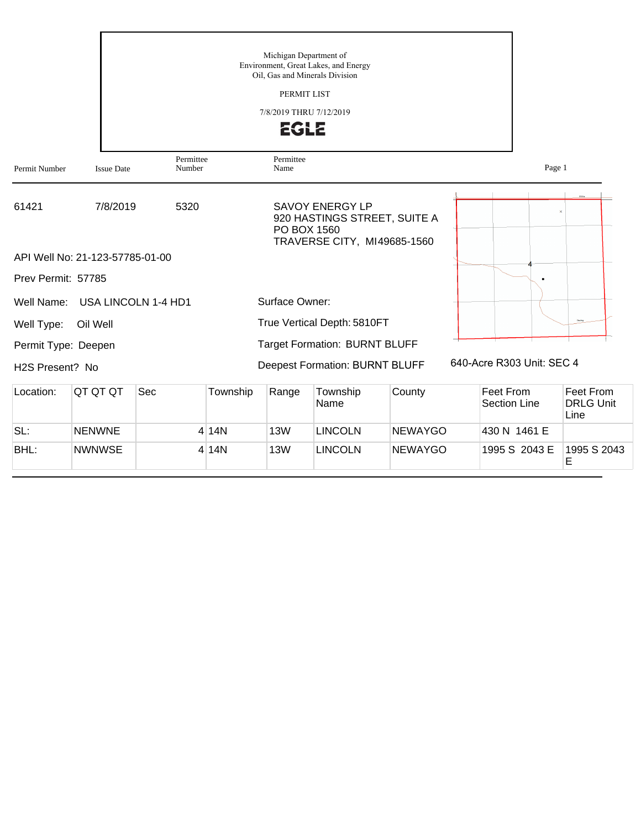|                              |                                 |                     |          | Michigan Department of<br>Oil, Gas and Minerals Division<br>PERMIT LIST<br>7/8/2019 THRU 7/12/2019<br><b>EGLE</b> | Environment, Great Lakes, and Energy                                                  |                |  |                                         |                                       |
|------------------------------|---------------------------------|---------------------|----------|-------------------------------------------------------------------------------------------------------------------|---------------------------------------------------------------------------------------|----------------|--|-----------------------------------------|---------------------------------------|
| Permit Number                | <b>Issue Date</b>               | Permittee<br>Number |          | Permittee<br>Name                                                                                                 |                                                                                       |                |  | Page 1                                  |                                       |
| 61421                        | 7/8/2019                        | 5320                |          | PO BOX 1560                                                                                                       | <b>SAVOY ENERGY LP</b><br>920 HASTINGS STREET, SUITE A<br>TRAVERSE CITY, MI49685-1560 |                |  |                                         |                                       |
| Prev Permit: 57785           | API Well No: 21-123-57785-01-00 |                     |          |                                                                                                                   |                                                                                       |                |  |                                         |                                       |
| Well Name:                   | USA LINCOLN 1-4 HD1             |                     |          | Surface Owner:                                                                                                    |                                                                                       |                |  |                                         |                                       |
| Well Type:                   | Oil Well                        |                     |          | True Vertical Depth: 5810FT                                                                                       |                                                                                       |                |  |                                         |                                       |
| Permit Type: Deepen          |                                 |                     |          |                                                                                                                   | <b>Target Formation: BURNT BLUFF</b>                                                  |                |  |                                         |                                       |
| H <sub>2</sub> S Present? No |                                 |                     |          |                                                                                                                   | Deepest Formation: BURNT BLUFF                                                        |                |  | 640-Acre R303 Unit: SEC 4               |                                       |
| Location:                    | QT QT QT                        | Sec                 | Township | Range                                                                                                             | Township<br>Name                                                                      | County         |  | <b>Feet From</b><br><b>Section Line</b> | Feet From<br><b>DRLG Unit</b><br>Line |
| SL:                          | <b>NENWNE</b>                   |                     | 4 14N    | 13W                                                                                                               | <b>LINCOLN</b>                                                                        | <b>NEWAYGO</b> |  | 430 N 1461 E                            |                                       |
| BHL:                         | <b>NWNWSE</b>                   |                     | 4 14N    | <b>13W</b>                                                                                                        | <b>LINCOLN</b>                                                                        | <b>NEWAYGO</b> |  | 1995 S 2043 E                           | 1995 S 2043<br>E                      |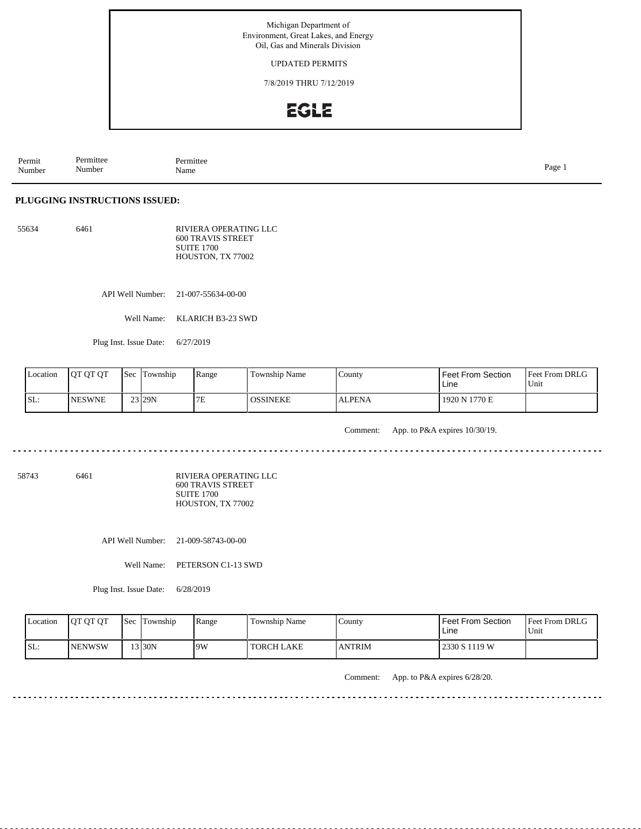UPDATED PERMITS

7/8/2019 THRU 7/12/2019

## **EGLE**

Permit Number Permittee Number Permittee<br>Name Name Page 1

### **PLUGGING INSTRUCTIONS ISSUED:**

55634 6461 RIVIERA OPERATING LLC 600 TRAVIS STREET SUITE 1700 HOUSTON, TX 77002

API Well Number: 21-007-55634-00-00

Well Name: KLARICH B3-23 SWD

Plug Inst. Issue Date: 6/27/2019

| Location | <b>IOT OT OT</b> | Sec | Township | Range | <b>Township Name</b> | County        | Feet From Section<br>Line | Feet From DRLG<br>Unit |
|----------|------------------|-----|----------|-------|----------------------|---------------|---------------------------|------------------------|
| SL:      | <b>NESWNE</b>    |     | 23 29N   | 7E    | <b>OSSINEKE</b>      | <b>ALPENA</b> | 1920 N 1770 E             |                        |

Comment: App. to P&A expires 10/30/19.

 $2.22222222$ 

 $\sim$   $\sim$   $\sim$   $\sim$ 

58743 6461

RIVIERA OPERATING LLC 600 TRAVIS STREET SUITE 1700 HOUSTON, TX 77002

API Well Number: 21-009-58743-00-00

Well Name: PETERSON C1-13 SWD

Plug Inst. Issue Date: 6/28/2019

| <b>Location</b> | <b>IOT OT OT</b> | <b>Sec</b> | Township | Range | <b>Township Name</b> | County        | Feet From Section<br>Line | Feet From DRLG<br>Unit |
|-----------------|------------------|------------|----------|-------|----------------------|---------------|---------------------------|------------------------|
| ISL:            | <b>INENWSW</b>   |            | 13 30N   | 9W    | l TORCH LAKE         | <b>ANTRIM</b> | 2330 S 1119 W             |                        |

Comment: App. to P&A expires 6/28/20.

dia dia dia dia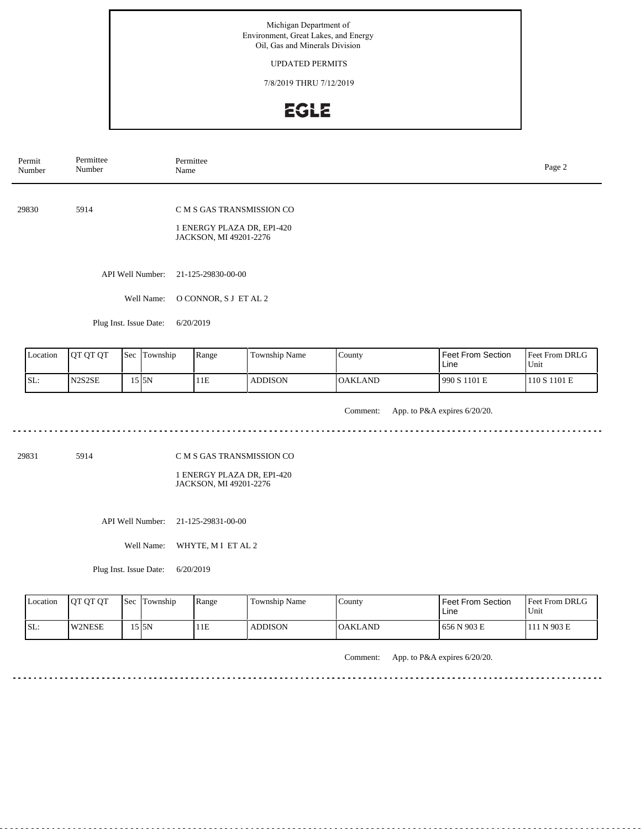### UPDATED PERMITS

7/8/2019 THRU 7/12/2019

## **EGLE**

| Permit<br>Number | Permittee<br>Number    | Permittee<br>Name                                                                 | Page 2 |
|------------------|------------------------|-----------------------------------------------------------------------------------|--------|
| 29830            | 5914                   | C M S GAS TRANSMISSION CO<br>1 ENERGY PLAZA DR, EP1-420<br>JACKSON, MI 49201-2276 |        |
|                  | API Well Number:       | 21-125-29830-00-00                                                                |        |
|                  | Well Name:             | O CONNOR, S J ET AL 2                                                             |        |
|                  | Plug Inst. Issue Date: | 6/20/2019                                                                         |        |
|                  |                        |                                                                                   |        |

| Location | <b>IOT OT OT</b>                             | Sec | <b>Township</b> | Range | Township Name  | $\sqrt{\frac{1}{2}}$ | <b>Feet From Section</b><br>Line | <b>Feet From DRLG</b><br>Unit |
|----------|----------------------------------------------|-----|-----------------|-------|----------------|----------------------|----------------------------------|-------------------------------|
| SL:      | N <sub>2</sub> S <sub>2</sub> S <sub>E</sub> |     | .5 I5N          | 11E   | <b>ADDISON</b> | <b>OAKLAND</b>       | 990 S 1101 E                     | 110 S 1101 E                  |

Comment: App. to P&A expires 6/20/20.

29831 5914

C M S GAS TRANSMISSION CO

1 ENERGY PLAZA DR, EP1-420 JACKSON, MI 49201-2276

API Well Number: 21-125-29831-00-00

Well Name: WHYTE, M I ET AL 2

Plug Inst. Issue Date: 6/20/2019

| <b>Location</b> | <b>IOT OT OT</b> | <b>Sec</b> Township | Range | Township Name | County          | Feet From Section<br>Line | <b>Feet From DRLG</b><br>Unit |
|-----------------|------------------|---------------------|-------|---------------|-----------------|---------------------------|-------------------------------|
| ISL:            | <b>IW2NESE</b>   | 15 5N               | 11E   | ADDISON       | <b>IOAKLAND</b> | 656 N 903 E               | 111 N 903 E                   |

Comment: App. to P&A expires 6/20/20.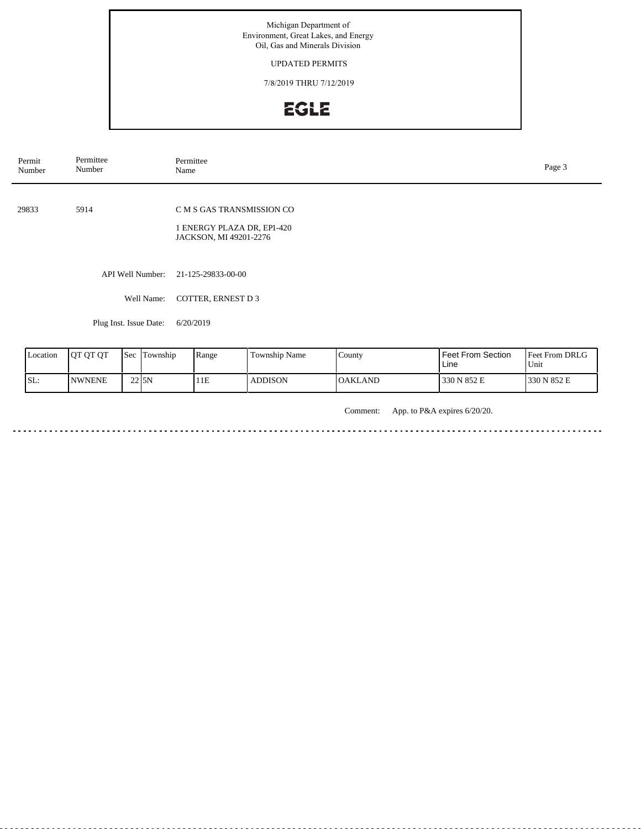UPDATED PERMITS

7/8/2019 THRU 7/12/2019

# EGLE

| Permit<br>Number | Permittee<br>Number    | Permittee<br>Name                                    | Page 3 |
|------------------|------------------------|------------------------------------------------------|--------|
|                  |                        |                                                      |        |
| 29833            | 5914                   | C M S GAS TRANSMISSION CO                            |        |
|                  |                        | 1 ENERGY PLAZA DR, EP1-420<br>JACKSON, MI 49201-2276 |        |
|                  |                        |                                                      |        |
|                  | API Well Number:       | 21-125-29833-00-00                                   |        |
|                  | Well Name:             | COTTER, ERNEST D 3                                   |        |
|                  | Plug Inst. Issue Date: | 6/20/2019                                            |        |

| Location | <b>IOT OT OT</b> | l Sec               | Township | Range | Township Name  | County    | <b>Feet From Section</b><br>∟ine | <b>Feet From DRLG</b><br>Unit |
|----------|------------------|---------------------|----------|-------|----------------|-----------|----------------------------------|-------------------------------|
| ISL:     | <b>NWNENE</b>    | $22$ <sub>JSN</sub> |          | 11E   | <b>ADDISON</b> | lOAKLAND- | 330 N 852 E                      | 1330 N 852 E                  |

Comment: App. to P&A expires 6/20/20.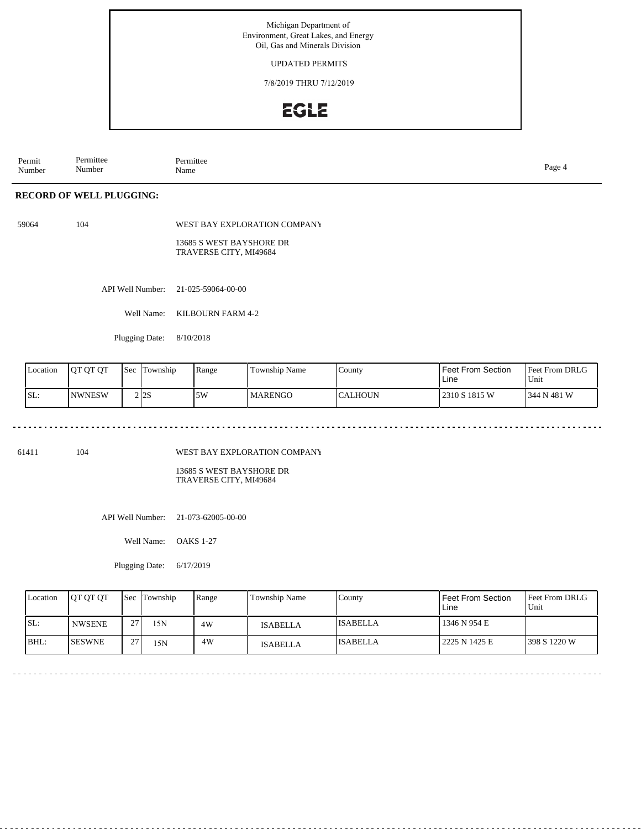UPDATED PERMITS

7/8/2019 THRU 7/12/2019

## **EGLE**

Permit Number Permittee Number Permittee<br>Name Name Page 4

### **RECORD OF WELL PLUGGING:**

59064 104

WEST BAY EXPLORATION COMPANY

13685 S WEST BAYSHORE DR TRAVERSE CITY, MI49684

API Well Number: 21-025-59064-00-00

Well Name: KILBOURN FARM 4-2

Plugging Date: 8/10/2018

| Location | IOT OT OT     | 'Sec | Township | Range | Township Name  | $\sqrt{\text{0}}$ | l Feet From Section.<br>Line | <b>Feet From DRLG</b><br>Unit |
|----------|---------------|------|----------|-------|----------------|-------------------|------------------------------|-------------------------------|
| 'SL:     | <b>NWNESW</b> |      | 2 2 S    | 5W    | <b>MARENGO</b> | ICALHOUN          | 12310 S 1815 W               | 1344 N 481 W                  |

. . . . . . . . . . . . . .

61411 104

WEST BAY EXPLORATION COMPANY

13685 S WEST BAYSHORE DR TRAVERSE CITY, MI49684

API Well Number: 21-073-62005-00-00

Well Name: OAKS 1-27

Plugging Date: 6/17/2019

| Location | <b>IOT OT OT</b> |    | <b>Sec Township</b> | Range | Township Name   | County          | Feet From Section<br>Line | <b>Feet From DRLG</b><br>Unit |
|----------|------------------|----|---------------------|-------|-----------------|-----------------|---------------------------|-------------------------------|
| ISL:     | <b>NWSENE</b>    | 27 | 15N                 | 4W    | <b>ISABELLA</b> | <b>ISABELLA</b> | 1346 N 954 E              |                               |
| BHL:     | <b>ISESWNE</b>   | 27 | 15N                 | 4W    | <b>ISABELLA</b> | <b>ISABELLA</b> | 12225 N 1425 E            | 398 S 1220 W                  |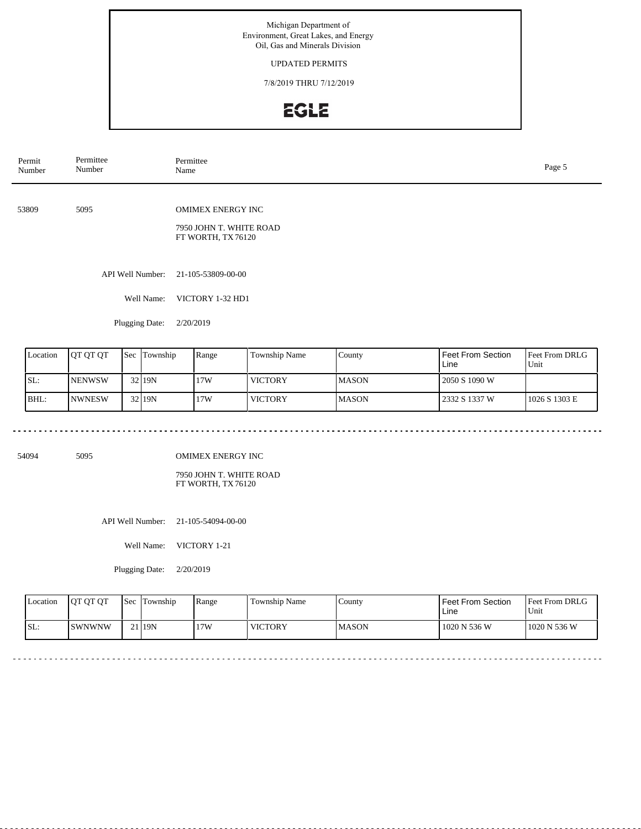## UPDATED PERMITS

7/8/2019 THRU 7/12/2019

# EGLE

| Permit<br>Number | Permittee<br>Number |  | Permittee<br>Name |                                                                           |               |        |                            | Page 5                    |  |
|------------------|---------------------|--|-------------------|---------------------------------------------------------------------------|---------------|--------|----------------------------|---------------------------|--|
| 53809            | 5095                |  |                   | <b>OMIMEX ENERGY INC</b><br>7950 JOHN T. WHITE ROAD<br>FT WORTH, TX 76120 |               |        |                            |                           |  |
|                  |                     |  | API Well Number:  | 21-105-53809-00-00                                                        |               |        |                            |                           |  |
|                  |                     |  | Well Name:        | VICTORY 1-32 HD1                                                          |               |        |                            |                           |  |
|                  |                     |  | Plugging Date:    | 2/20/2019                                                                 |               |        |                            |                           |  |
| Location         | QT QT QT            |  | Sec Township      | Range                                                                     | Township Name | County | Feet From Section<br>l ine | Feet From DRLG<br>II Init |  |

| Location | <b>OT OT OT</b> | Sec Township      | Range | l Township Name | <b>County</b> | Feet From Section<br>Line | <b>Feet From DRLG</b><br>Unit |
|----------|-----------------|-------------------|-------|-----------------|---------------|---------------------------|-------------------------------|
| ISL:     | <b>NENWSW</b>   | 32 <sub>19N</sub> | 17W   | VICTORY         | <b>IMASON</b> | 2050 S 1090 W             |                               |
| BHL:     | <b>NWNESW</b>   | 32 <sub>19N</sub> | 17W   | l VICTORY       | <b>IMASON</b> | 12332 S 1337 W            | 1026 S 1303 E                 |

54094 5095

 $\frac{1}{2} \left( \frac{1}{2} \right) \left( \frac{1}{2} \right) \left( \frac{1}{2} \right) \left( \frac{1}{2} \right)$ 

 $\sim$   $\sim$ 

OMIMEX ENERGY INC

7950 JOHN T. WHITE ROAD FT WORTH, TX 76120

API Well Number: 21-105-54094-00-00

Well Name: VICTORY 1-21

Plugging Date: 2/20/2019

| <b>Location</b> | <b>OT OT OT</b> | Sec Township | Range | Township Name  | County | Feet From Section<br>Line | <b>Feet From DRLG</b><br>Unit |
|-----------------|-----------------|--------------|-------|----------------|--------|---------------------------|-------------------------------|
| ISL:            | <b>ISWNWNW</b>  | 21119N       | 17W   | <b>VICTORY</b> | IMASON | 1020 N 536 W              | 1020 N 536 W                  |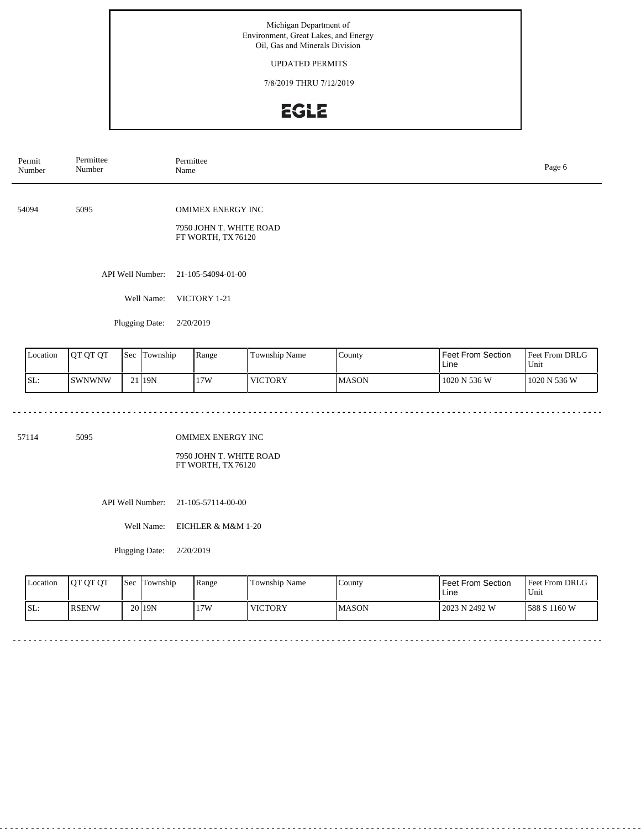## UPDATED PERMITS

7/8/2019 THRU 7/12/2019

# EGLE

| Permit<br>Number | Permittee<br>Number      | Permittee<br>Name                                                        |                    |        |                   |                |  |  |  |
|------------------|--------------------------|--------------------------------------------------------------------------|--------------------|--------|-------------------|----------------|--|--|--|
| 54094            | 5095                     | <b>OMIMEX ENERGY INC</b><br>7950 JOHN T. WHITE ROAD<br>FT WORTH, TX76120 |                    |        |                   |                |  |  |  |
|                  | API Well Number:         |                                                                          | 21-105-54094-01-00 |        |                   |                |  |  |  |
|                  | Well Name:               | VICTORY 1-21                                                             |                    |        |                   |                |  |  |  |
|                  | Plugging Date:           | 2/20/2019                                                                |                    |        |                   |                |  |  |  |
| Location         | QT QT QT<br>Sec Township | Range                                                                    | Township Name      | County | Feet From Section | Feet From DRLG |  |  |  |

| Location | <b>IOT OT OT</b> | 'Sec | Township | Range | $\sim$<br>Township Name | . County     | <b>Feet From Section</b><br>Line | <b>Feet From DRLG</b><br>Unit |
|----------|------------------|------|----------|-------|-------------------------|--------------|----------------------------------|-------------------------------|
| ISL:     | ISWNWNW          |      | 21119N   | 17W   | <b>VICTORY</b>          | <b>MASON</b> | 1020 N 536 W                     | 1020 N 536 W                  |

57114 5095

OMIMEX ENERGY INC

7950 JOHN T. WHITE ROAD FT WORTH, TX 76120

API Well Number: 21-105-57114-00-00

Well Name: EICHLER & M&M 1-20

| Location | <b>OT OT OT</b> | <b>Sec</b> | Township          | Range | Township Name  | County | l Feet From Section<br>Line | <b>Feet From DRLG</b><br>Unit |
|----------|-----------------|------------|-------------------|-------|----------------|--------|-----------------------------|-------------------------------|
| ISL:     | <b>IRSENW</b>   |            | 20 <sub>19N</sub> | 17W   | <b>VICTORY</b> | 'MASON | 12023 N 2492 W              | 588 S 1160 W                  |

Plugging Date: 2/20/2019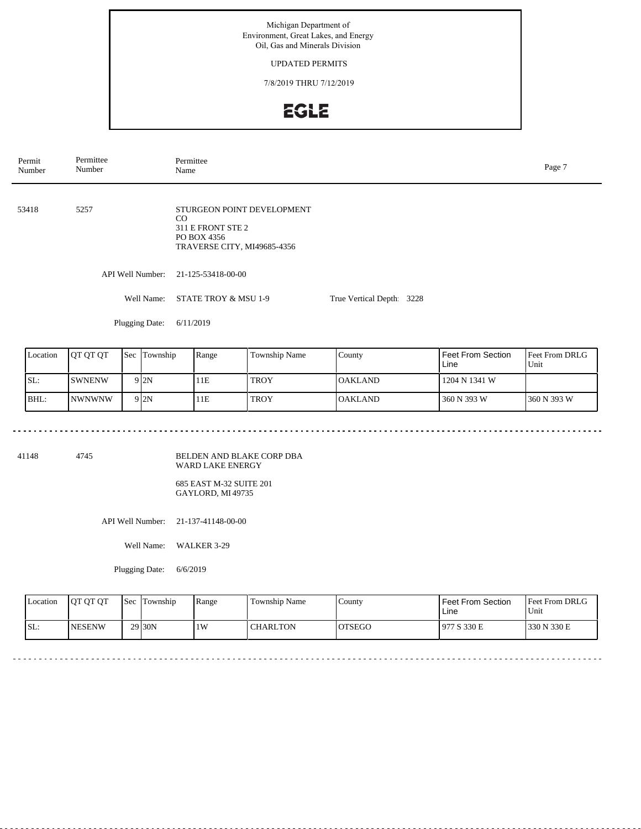### UPDATED PERMITS

7/8/2019 THRU 7/12/2019

## EGLE

| Permit<br>Number | Permittee<br>Number | Permittee<br>Name                                                                                   |                           |  |  |  |  |  |
|------------------|---------------------|-----------------------------------------------------------------------------------------------------|---------------------------|--|--|--|--|--|
| 53418            | 5257                | STURGEON POINT DEVELOPMENT<br>CO<br>311 E FRONT STE 2<br>PO BOX 4356<br>TRAVERSE CITY, MI49685-4356 |                           |  |  |  |  |  |
|                  | API Well Number:    | 21-125-53418-00-00                                                                                  |                           |  |  |  |  |  |
|                  | Well Name:          | STATE TROY & MSU 1-9                                                                                | True Vertical Depth: 3228 |  |  |  |  |  |
|                  |                     |                                                                                                     |                           |  |  |  |  |  |

Plugging Date: 6/11/2019

| Location | IOT OT OT     | <b>Sec</b> | Township        | Range | Township Name | County         | <b>Feet From Section</b><br>Line | <b>Feet From DRLG</b><br>Unit |
|----------|---------------|------------|-----------------|-------|---------------|----------------|----------------------------------|-------------------------------|
| SL:      | <b>SWNENW</b> |            | 9 <sub>2N</sub> | 11E   | <b>TROY</b>   | <b>OAKLAND</b> | 1204 N 1341 W                    |                               |
| BHL:     | INWNWNW       |            | 912N            | 11E   | <b>TROY</b>   | <b>OAKLAND</b> | 360 N 393 W                      | 1360 N 393 W                  |

41148 4745

BELDEN AND BLAKE CORP DBA WARD LAKE ENERGY

685 EAST M-32 SUITE 201 GAYLORD, MI 49735

API Well Number: 21-137-41148-00-00

Well Name: WALKER 3-29

Plugging Date: 6/6/2019

| <b>Location</b> | <b>OT OT OT</b> | Sec Township       | Range | Township Name | County        | Feet From Section<br>Line | <b>Feet From DRLG</b><br>Unit |
|-----------------|-----------------|--------------------|-------|---------------|---------------|---------------------------|-------------------------------|
| ISL:            | <b>INESENW</b>  | 29 <sub>30</sub> N | 1W    | CHARLTON      | <b>OTSEGO</b> | 977 S 330 E               | 330 N 330 E                   |

 $\frac{1}{2}$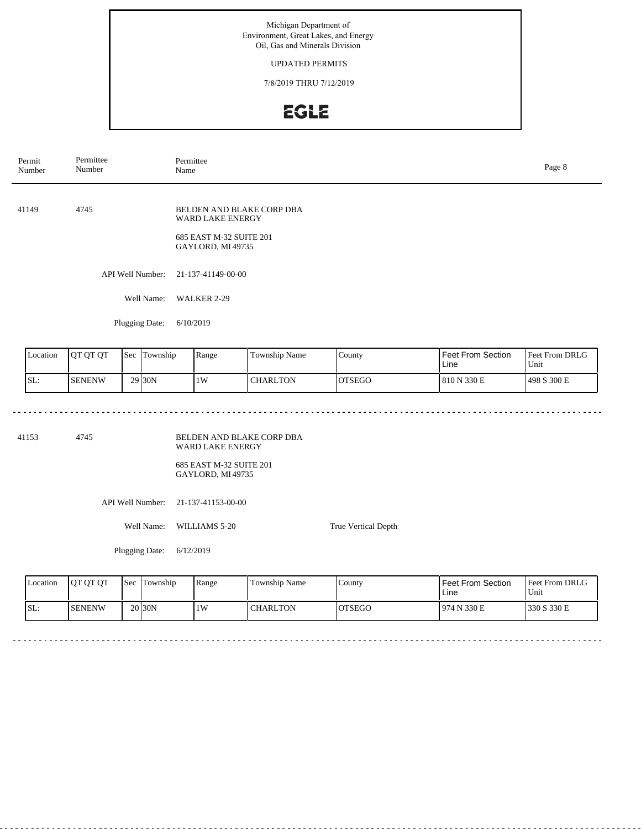## UPDATED PERMITS

7/8/2019 THRU 7/12/2019

## EGLE

| Permit<br>Number | Permittee<br>Number                                                                                   |     | Name             | Permittee<br>Page 8 |               |        |                                  |                        |  |  |  |
|------------------|-------------------------------------------------------------------------------------------------------|-----|------------------|---------------------|---------------|--------|----------------------------------|------------------------|--|--|--|
| 41149            | 4745<br>BELDEN AND BLAKE CORP DBA<br>WARD LAKE ENERGY<br>685 EAST M-32 SUITE 201<br>GAYLORD, MI 49735 |     |                  |                     |               |        |                                  |                        |  |  |  |
|                  |                                                                                                       |     | API Well Number: | 21-137-41149-00-00  |               |        |                                  |                        |  |  |  |
|                  |                                                                                                       |     | Well Name:       | WALKER 2-29         |               |        |                                  |                        |  |  |  |
|                  | Plugging Date:<br>6/10/2019                                                                           |     |                  |                     |               |        |                                  |                        |  |  |  |
| Location         | QT QT QT                                                                                              | Sec | Township         | Range               | Township Name | County | <b>Feet From Section</b><br>Line | Feet From DRLG<br>Unit |  |  |  |

|     |               |                    |    |                 |               | Line        | $\cup$ nit     |
|-----|---------------|--------------------|----|-----------------|---------------|-------------|----------------|
| SL: | <b>SENENW</b> | 29 <sub>30</sub> N | 1W | <b>CHARLTON</b> | <b>OTSEGO</b> | 810 N 330 E | 300 E<br>498 S |
|     |               |                    |    |                 |               |             |                |

<u>. . . . . . . . . .</u>

41153 4745

<u>. . . . . . . . . .</u>

BELDEN AND BLAKE CORP DBA WARD LAKE ENERGY

685 EAST M-32 SUITE 201 GAYLORD, MI 49735

API Well Number: 21-137-41153-00-00

Well Name: WILLIAMS 5-20

Plugging Date: 6/12/2019

| Location | <b>IOT OT OT</b> | l Sec | Township           | Range | Township Name   | County        | Feet From Section<br>Line | <b>Feet From DRLG</b><br>Unit |
|----------|------------------|-------|--------------------|-------|-----------------|---------------|---------------------------|-------------------------------|
| ISL:     | <b>ISENENW</b>   |       | 20 <sub>30</sub> N | 1W    | <b>CHARLTON</b> | <b>OTSEGO</b> | 1974 N 330 E              | 1330 S 330 E                  |

True Vertical Depth:

. . . . . . . . . . . . . . . . .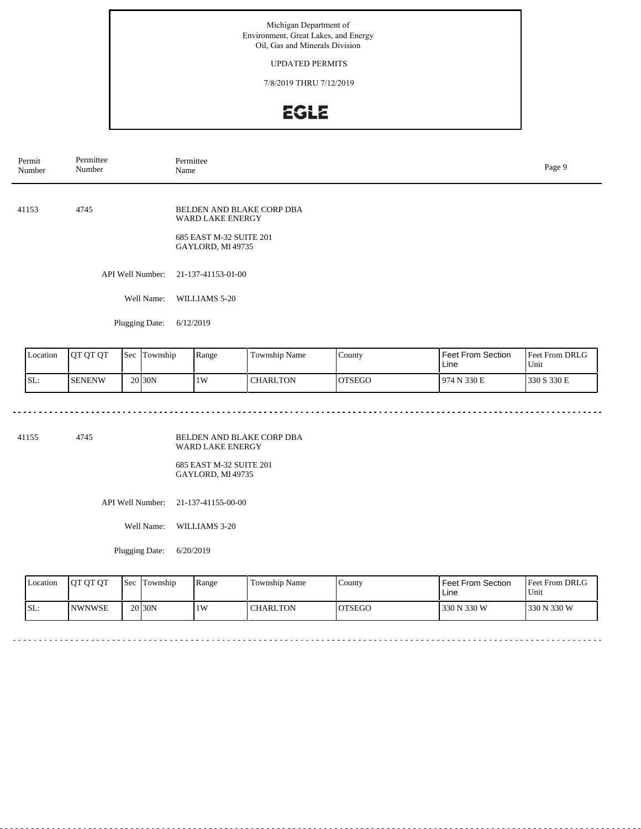## UPDATED PERMITS

7/8/2019 THRU 7/12/2019

# **EGLE**

|       | Permit<br>Number | Permittee<br>Number | Name             |                                                                                               |               | Permittee |                                   |                        |  |  |  |
|-------|------------------|---------------------|------------------|-----------------------------------------------------------------------------------------------|---------------|-----------|-----------------------------------|------------------------|--|--|--|
| 41153 |                  | 4745                |                  | BELDEN AND BLAKE CORP DBA<br>WARD LAKE ENERGY<br>685 EAST M-32 SUITE 201<br>GAYLORD, MI 49735 |               |           |                                   |                        |  |  |  |
|       |                  |                     | API Well Number: | 21-137-41153-01-00                                                                            |               |           |                                   |                        |  |  |  |
|       |                  |                     | Well Name:       | WILLIAMS 5-20                                                                                 |               |           |                                   |                        |  |  |  |
|       |                  |                     | Plugging Date:   | 6/12/2019                                                                                     |               |           |                                   |                        |  |  |  |
|       | Location         | QT QT QT            | Sec Township     | Range                                                                                         | Township Name | County    | <b>Feet From Section</b><br>l ine | Feet From DRLG<br>Unit |  |  |  |

| Location | <b>OT OT OT</b> | <sup>I</sup> Sec | Township           | Range | Township Name   | County  | <b>Feet From Section</b><br>Line | <b>Feet From DRLG</b><br>'Unit |
|----------|-----------------|------------------|--------------------|-------|-----------------|---------|----------------------------------|--------------------------------|
| ISL:     | <b>ISENENW</b>  |                  | 20 <sub>30</sub> N | 1W    | <b>CHARLTON</b> | IOTSEGO | 974 N 330 E                      | 330 S 330 E                    |

41155 4745

BELDEN AND BLAKE CORP DBA WARD LAKE ENERGY

685 EAST M-32 SUITE 201 GAYLORD, MI 49735

API Well Number: 21-137-41155-00-00

Well Name: WILLIAMS 3-20

Plugging Date: 6/20/2019

| <b>Location</b> | <b>OT OT OT</b> | l Sec | Township | Range | Township Name | County        | l Feet From Section<br>Line | Feet From DRLG<br>Unit |
|-----------------|-----------------|-------|----------|-------|---------------|---------------|-----------------------------|------------------------|
| SL:             | <b>NWNWSE</b>   |       | 20 30N   | 1W    | CHARLTON      | <b>OTSEGO</b> | 330 N 330 W                 | 1330 N 330 W           |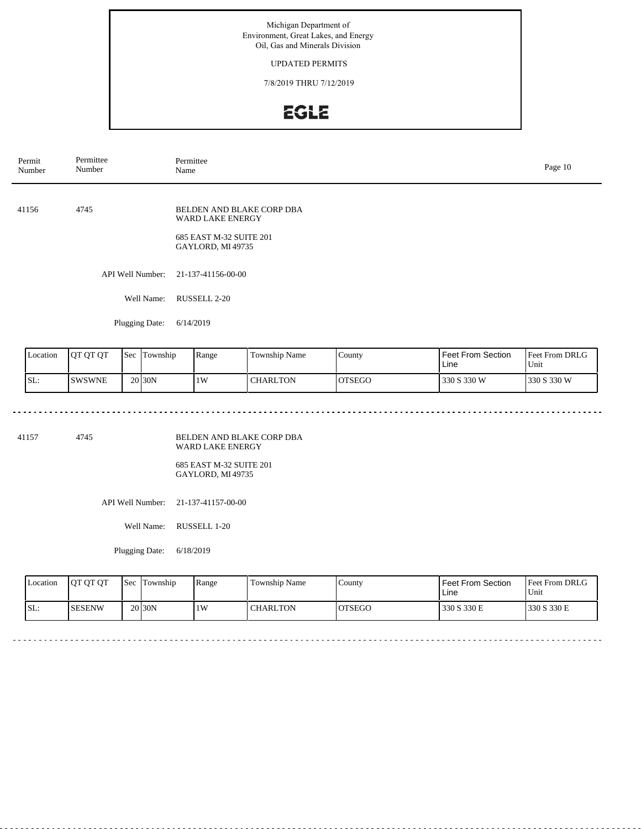## UPDATED PERMITS

7/8/2019 THRU 7/12/2019

# **EGLE**

| Permit<br>Number            | Permittee<br>Number |  |                  | Permittee<br>Name                                                                                   |               |        |                   |                           |  |  |
|-----------------------------|---------------------|--|------------------|-----------------------------------------------------------------------------------------------------|---------------|--------|-------------------|---------------------------|--|--|
| 41156                       | 4745                |  |                  | BELDEN AND BLAKE CORP DBA<br><b>WARD LAKE ENERGY</b><br>685 EAST M-32 SUITE 201<br>GAYLORD, MI49735 |               |        |                   |                           |  |  |
|                             |                     |  | API Well Number: | 21-137-41156-00-00                                                                                  |               |        |                   |                           |  |  |
|                             |                     |  | Well Name:       | RUSSELL 2-20                                                                                        |               |        |                   |                           |  |  |
| Plugging Date:<br>6/14/2019 |                     |  |                  |                                                                                                     |               |        |                   |                           |  |  |
| Location                    | QT QT QT            |  | Sec Township     | Range                                                                                               | Township Name | County | Feet From Section | Feet From DRLG<br>$- - -$ |  |  |

| Location | IOT OT OT | <b>Sec</b> | Township           | Range | Township Name   | County        | Feet From Section<br>Line | <b>Feet From DRLG</b><br>Unit |
|----------|-----------|------------|--------------------|-------|-----------------|---------------|---------------------------|-------------------------------|
| SL:      | ISWSWNE   |            | 20 <sub>30</sub> N | 1W    | <b>CHARLTON</b> | <b>OTSEGO</b> | 330 S 330 W               | 1330 S 330 W                  |

41157 4745

BELDEN AND BLAKE CORP DBA WARD LAKE ENERGY

685 EAST M-32 SUITE 201 GAYLORD, MI 49735

API Well Number: 21-137-41157-00-00

Well Name: RUSSELL 1-20

Plugging Date: 6/18/2019

| <b>Location</b> | <b>OT OT OT</b> | l Sec | Township           | Range | Township Name | County        | l Feet From Section<br>Line | Feet From DRLG<br>Unit |
|-----------------|-----------------|-------|--------------------|-------|---------------|---------------|-----------------------------|------------------------|
| SL:             | ISESENW         |       | 20 <sub>30</sub> N | 1W    | CHARLTON      | <b>OTSEGO</b> | 1330 S 330 E                | 1330 S 330 E           |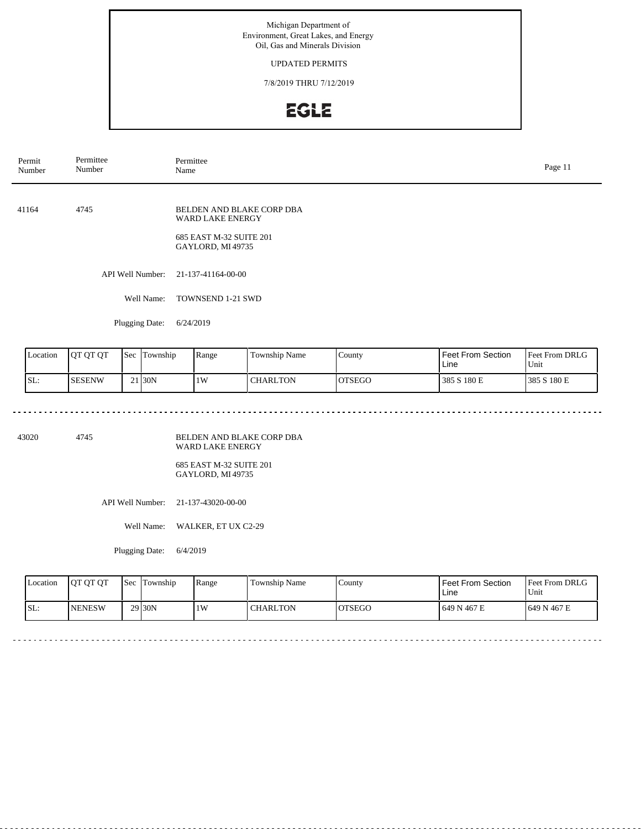### UPDATED PERMITS

7/8/2019 THRU 7/12/2019

## EGLE

| Permit<br>Number            | Permittee<br>Number |  | Permittee<br>Name |                                                                                                      |               |        |                   | Page 11        |
|-----------------------------|---------------------|--|-------------------|------------------------------------------------------------------------------------------------------|---------------|--------|-------------------|----------------|
| 41164                       | 4745                |  |                   | BELDEN AND BLAKE CORP DBA<br><b>WARD LAKE ENERGY</b><br>685 EAST M-32 SUITE 201<br>GAYLORD, MI 49735 |               |        |                   |                |
|                             |                     |  | API Well Number:  | 21-137-41164-00-00                                                                                   |               |        |                   |                |
|                             |                     |  | Well Name:        | TOWNSEND 1-21 SWD                                                                                    |               |        |                   |                |
| Plugging Date:<br>6/24/2019 |                     |  |                   |                                                                                                      |               |        |                   |                |
| Location                    | QT QT QT            |  | Sec Township      | Range                                                                                                | Township Name | County | Feet From Section | Feet From DRLG |

| Location | <b>OT OT OT</b> | 'Sec | Township           | Range | Township Name   | County        | Feet From Section<br>Line | <b>Feet From DRLG</b><br>Unit |
|----------|-----------------|------|--------------------|-------|-----------------|---------------|---------------------------|-------------------------------|
| ISL:     | ISESENW         |      | 21 <sub>30</sub> N | 1W    | <b>CHARLTON</b> | <b>OTSEGO</b> | 385 S 180 E               | 385 S 180 E                   |

43020 4745

BELDEN AND BLAKE CORP DBA WARD LAKE ENERGY

685 EAST M-32 SUITE 201 GAYLORD, MI 49735

API Well Number: 21-137-43020-00-00

Well Name: WALKER, ET UX C2-29

Plugging Date: 6/4/2019

| <b>Location</b> | <b>OT OT OT</b> | <b>Sec</b> | Township | Range | Township Name   | County  | l Feet From Section<br>Line | Feet From DRLG<br>Unit |
|-----------------|-----------------|------------|----------|-------|-----------------|---------|-----------------------------|------------------------|
| ISL:            | <b>INENESW</b>  |            | 29 30N   | 1W    | <b>CHARLTON</b> | IOTSEGO | 1649 N 467 E                | 1649 N 467 E           |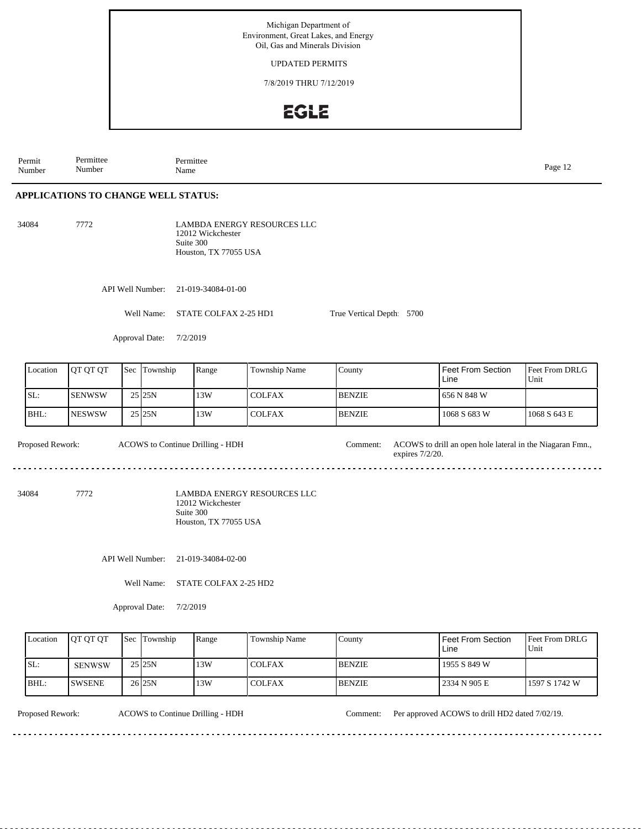UPDATED PERMITS

7/8/2019 THRU 7/12/2019

## **EGLE**

Permit Number Permittee Number Permittee<br>Name Page 12<br>Name Page 12

### **APPLICATIONS TO CHANGE WELL STATUS:**

34084 7772

LAMBDA ENERGY RESOURCES LLC 12012 Wickchester Suite 300 Houston, TX 77055 USA

API Well Number: 21-019-34084-01-00

Well Name: STATE COLFAX 2-25 HD1

Approval Date: 7/2/2019

| Location | <b>IOT OT OT</b> | <b>Sec Township</b> | Range | Township Name | Countv        | <b>Feet From Section</b><br>Line | <b>Feet From DRLG</b><br>Unit |
|----------|------------------|---------------------|-------|---------------|---------------|----------------------------------|-------------------------------|
| SL:      | ISENWSW          | 25 25 N             | 13W   | <b>COLFAX</b> | <b>BENZIE</b> | 656 N 848 W                      |                               |
| BHL:     | <b>INESWSW</b>   | 25 25 N             | 13W   | <b>COLFAX</b> | <b>BENZIE</b> | 1068 S 683 W                     | 1068 S 643 E                  |

Proposed Rework: ACOWS to Continue Drilling - HDH Comment: ACOWS to drill an open hole lateral in the Niagaran Fmn., ACOWS to Continue Drilling - HDH

34084 7772

LAMBDA ENERGY RESOURCES LLC 12012 Wickchester Suite 300

API Well Number: 21-019-34084-02-00

Well Name: STATE COLFAX 2-25 HD2

Approval Date: 7/2/2019

| Location | <b>OT OT OT</b> | <b>Sec Township</b>  | Range | Township Name | County        | Feet From Section<br>Line | <b>Feet From DRLG</b><br>Unit |
|----------|-----------------|----------------------|-------|---------------|---------------|---------------------------|-------------------------------|
| ISL:     | <b>SENWSW</b>   | $25$ <sub>25</sub> N | 13W   | <b>COLFAX</b> | <b>BENZIE</b> | 1955 S 849 W              |                               |
| BHL:     | <b>ISWSENE</b>  | 26 <sub>25N</sub>    | 13W   | <b>COLFAX</b> | <b>BENZIE</b> | 12334 N 905 E             | 1597 S 1742 W                 |

Proposed Rework: ACOWS to Continue Drilling - HDH Comment: Per approved ACOWS to drill HD2 dated 7/02/19.

expires 7/2/20. Comment:

Houston, TX 77055 USA

True Vertical Depth: 5700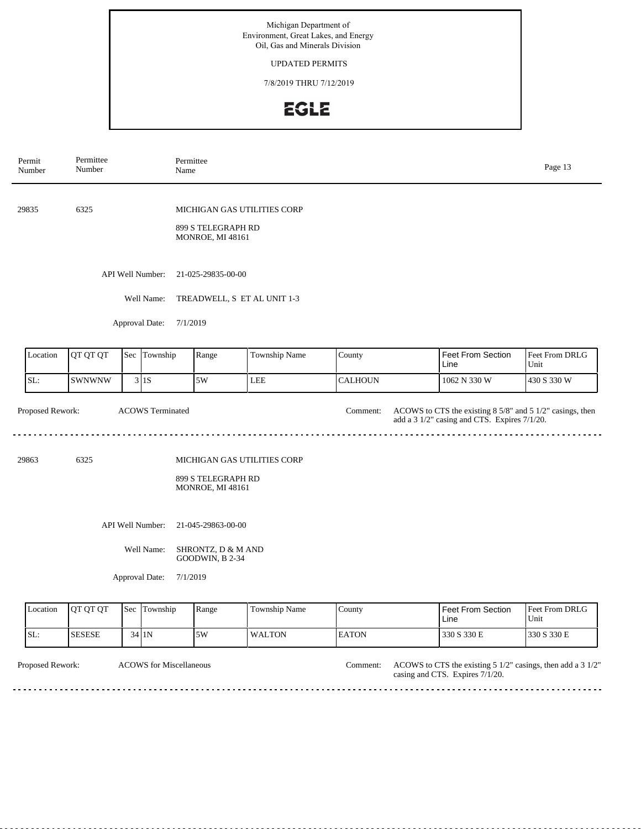UPDATED PERMITS

7/8/2019 THRU 7/12/2019

# **EGLE**

| Permit<br>Number                                    | Permittee<br>Number        |  |                            | Permittee<br>Name                      |                             |                |                                                                                                           |                        |  |  |
|-----------------------------------------------------|----------------------------|--|----------------------------|----------------------------------------|-----------------------------|----------------|-----------------------------------------------------------------------------------------------------------|------------------------|--|--|
| 29835                                               | 6325                       |  |                            | 899 S TELEGRAPH RD<br>MONROE, MI 48161 | MICHIGAN GAS UTILITIES CORP |                |                                                                                                           |                        |  |  |
|                                                     |                            |  | API Well Number:           | 21-025-29835-00-00                     |                             |                |                                                                                                           |                        |  |  |
|                                                     |                            |  | Well Name:                 |                                        | TREADWELL, S ET AL UNIT 1-3 |                |                                                                                                           |                        |  |  |
|                                                     | Approval Date:<br>7/1/2019 |  |                            |                                        |                             |                |                                                                                                           |                        |  |  |
| Location                                            | QT QT QT                   |  | Sec Township               | Range                                  | Township Name               | County         | Feet From Section<br>Line                                                                                 | Feet From DRLG<br>Unit |  |  |
| SL:                                                 | <b>SWNWNW</b>              |  | 3 1S                       | 5W                                     | LEE                         | <b>CALHOUN</b> | 1062 N 330 W                                                                                              | 430 S 330 W            |  |  |
| Proposed Rework:                                    |                            |  | <b>ACOWS</b> Terminated    |                                        |                             | Comment:       | ACOWS to CTS the existing 8 5/8" and 5 1/2" casings, then<br>add a 3 1/2" casing and CTS. Expires 7/1/20. |                        |  |  |
| 29863                                               | 6325                       |  |                            | 899 S TELEGRAPH RD<br>MONROE, MI 48161 | MICHIGAN GAS UTILITIES CORP |                |                                                                                                           |                        |  |  |
|                                                     |                            |  | API Well Number:           | 21-045-29863-00-00                     |                             |                |                                                                                                           |                        |  |  |
| Well Name:<br>SHRONTZ, D & M AND<br>GOODWIN, B 2-34 |                            |  |                            |                                        |                             |                |                                                                                                           |                        |  |  |
|                                                     |                            |  | Approval Date:<br>7/1/2019 |                                        |                             |                |                                                                                                           |                        |  |  |
| Location                                            | QT QT QT                   |  | Sec Township               | Range                                  | Township Name               | County         | Feet From Section<br>Line                                                                                 | Feet From DRLG<br>Unit |  |  |
| SL:                                                 | <b>SESESE</b>              |  | 34 1N                      | 5W                                     | <b>WALTON</b>               | <b>EATON</b>   | 330 S 330 E                                                                                               | 330 S 330 E            |  |  |

ACOWS for Miscellaneous Comment:

Proposed Rework: ACOWS for Miscellaneous Comment: ACOWS to CTS the existing 5 1/2" casings, then add a 3 1/2" casing and CTS. Expires 7/1/20.

> <u>. . . . . . . . . . . . . . . . . .</u>  $\frac{1}{2}$  .  $\frac{1}{2}$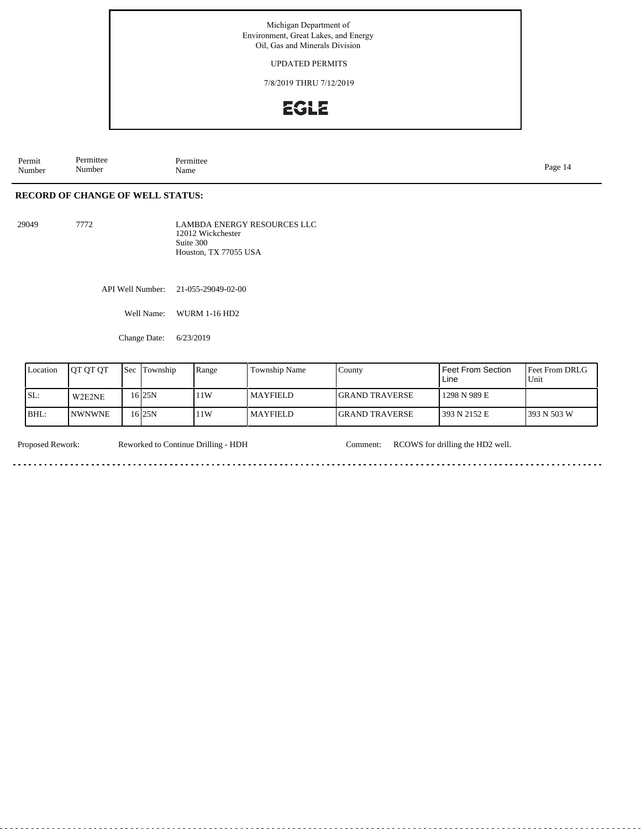UPDATED PERMITS

7/8/2019 THRU 7/12/2019

# **EGLE**

Permit Number Permittee Number Permittee<br>Name Name Page 14

### **RECORD OF CHANGE OF WELL STATUS:**

29049 7772

 $1.1.1.1.1.1$ 

LAMBDA ENERGY RESOURCES LLC 12012 Wickchester Suite 300 Houston, TX 77055 USA

API Well Number: 21-055-29049-02-00

Well Name: WURM 1-16 HD2

Change Date: 6/23/2019

| Location | <b>IOT OT OT</b> | <b>Sec Township</b> | Range | <b>Township Name</b> | County                 | <b>Feet From Section</b><br>Line | <b>IFeet From DRLG</b><br>Unit |
|----------|------------------|---------------------|-------|----------------------|------------------------|----------------------------------|--------------------------------|
| ISL:     | W2E2NE           | 16 25 N             | 1W    | l MAYFIELD -         | <b>IGRAND TRAVERSE</b> | 1298 N 989 E                     |                                |
| BHL:     | <b>INWNWNE</b>   | 16 25 N             | 1W    | MAYFIELD_            | <b>IGRAND TRAVERSE</b> | 393 N 2152 E                     | 393 N 503 W                    |

Proposed Rework: Reworked to Continue Drilling - HDH Comment: RCOWS for drilling the HD2 well.

<u>. . . . . . . . . . .</u>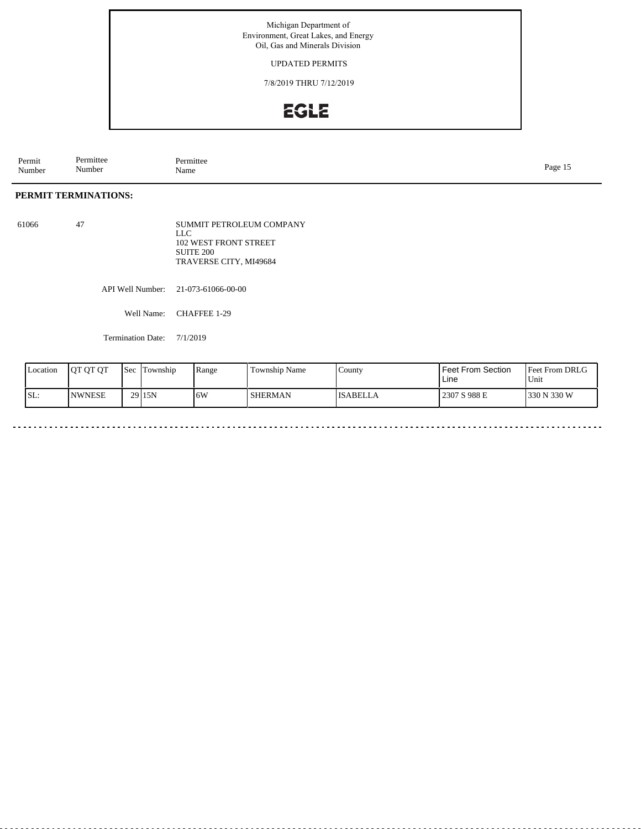UPDATED PERMITS

7/8/2019 THRU 7/12/2019

## EGLE

Permit Number Permittee Number Permittee<br>Name Page 15<br>Name Page 15

## **PERMIT TERMINATIONS:**

. . . . . .

61066 47 SUMMIT PETROLEUM COMPANY LLC 102 WEST FRONT STREET SUITE 200 TRAVERSE CITY, MI49684

API Well Number: 21-073-61066-00-00

Well Name: CHAFFEE 1-29

Termination Date: 7/1/2019

| Location | <b>JOT OT OT</b> | 'Sec | Township | Range | Township Name  | . County | Feet From Section<br>Line | <b>Feet From DRLG</b><br>Unit |
|----------|------------------|------|----------|-------|----------------|----------|---------------------------|-------------------------------|
| SL:      | <b>NWNESE</b>    |      | 29 15N   | 16W   | <b>SHERMAN</b> | ISABELLA | 2307 S 988 E              | 330 N 330 W                   |

 $\sim$   $\sim$  $\frac{1}{2}$  . . . . . . . . . . . . . . . . . .

 $\sim$   $\sim$   $\sim$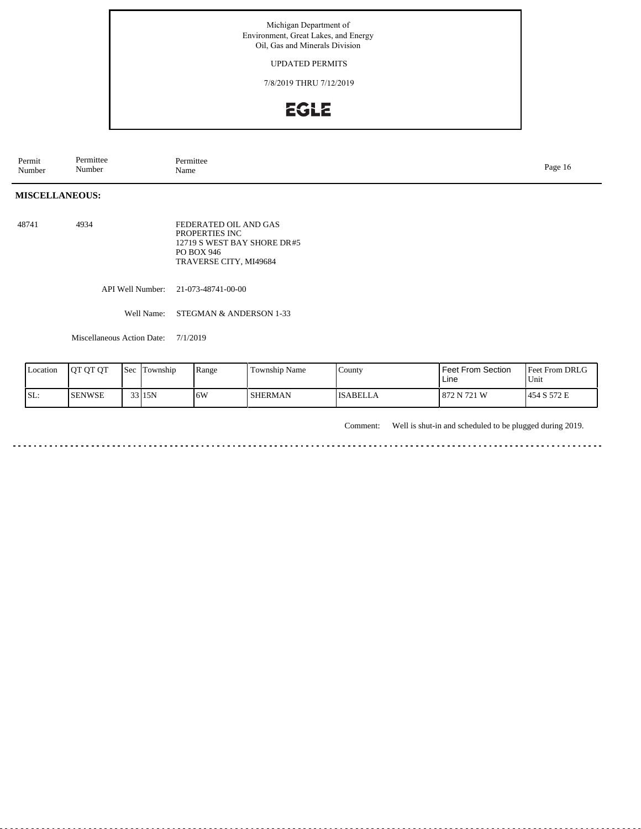### UPDATED PERMITS

7/8/2019 THRU 7/12/2019

## **EGLE**

Permit Number Permittee Number Permittee<br>Name Name Page 16

## **MISCELLANEOUS:**

| 4934 | FEDERATED OIL AND GAS       |  |  |  |
|------|-----------------------------|--|--|--|
|      | PROPERTIES INC.             |  |  |  |
|      | 12719 S WEST BAY SHORE DR#5 |  |  |  |
|      | PO BOX 946                  |  |  |  |
|      | TRAVERSE CITY, MI49684      |  |  |  |
|      |                             |  |  |  |

API Well Number: 21-073-48741-00-00

Well Name: STEGMAN & ANDERSON 1-33

Miscellaneous Action Date: 7/1/2019

| <b>Location</b> | <b>IOT OT OT</b> | <b>Sec</b> | Township | Range | Township Name | County          | Feet From Section<br>Line | Feet From DRLG<br>Unit |
|-----------------|------------------|------------|----------|-------|---------------|-----------------|---------------------------|------------------------|
| SL:             | <b>ISENWSE</b>   |            | 33 15N   | 16W   | SHERMAN       | <b>ISABELLA</b> | 872 N 721 W               | 1454 S 572 E           |

Comment: Well is shut-in and scheduled to be plugged during 2019.